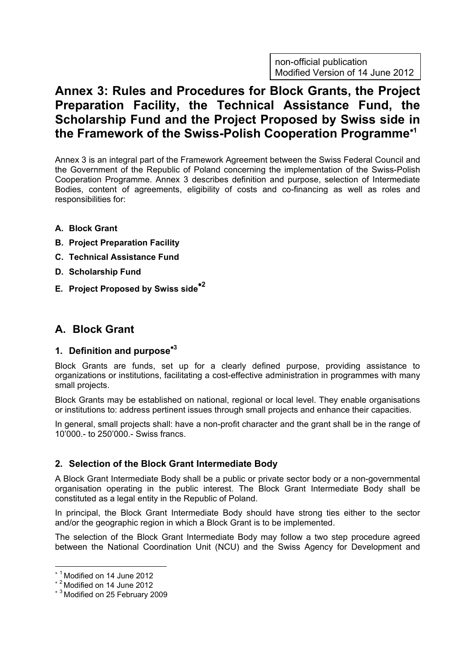non-official publication Modified Version of 14 June 2012

# Annex 3: Rules and Procedures for Block Grants, the Project Preparation Facility, the Technical Assistance Fund, the Scholarship Fund and the Project Proposed by Swiss side in the Framework of the Swiss-Polish Cooperation Programme<sup>∗</sup><sup>1</sup>

Annex 3 is an integral part of the Framework Agreement between the Swiss Federal Council and the Government of the Republic of Poland concerning the implementation of the Swiss-Polish Cooperation Programme. Annex 3 describes definition and purpose, selection of Intermediate Bodies, content of agreements, eligibility of costs and co-financing as well as roles and responsibilities for:

- A. Block Grant
- B. Project Preparation Facility
- C. Technical Assistance Fund
- D. Scholarship Fund
- E. Project Proposed by Swiss side∗<sup>2</sup>

## A. Block Grant

### 1. Definition and purpose<sup>\*3</sup>

Block Grants are funds, set up for a clearly defined purpose, providing assistance to organizations or institutions, facilitating a cost-effective administration in programmes with many small projects.

Block Grants may be established on national, regional or local level. They enable organisations or institutions to: address pertinent issues through small projects and enhance their capacities.

In general, small projects shall: have a non-profit character and the grant shall be in the range of 10'000.- to 250'000.- Swiss francs.

### 2. Selection of the Block Grant Intermediate Body

A Block Grant Intermediate Body shall be a public or private sector body or a non-governmental organisation operating in the public interest. The Block Grant Intermediate Body shall be constituted as a legal entity in the Republic of Poland.

In principal, the Block Grant Intermediate Body should have strong ties either to the sector and/or the geographic region in which a Block Grant is to be implemented.

The selection of the Block Grant Intermediate Body may follow a two step procedure agreed between the National Coordination Unit (NCU) and the Swiss Agency for Development and

 $\overline{a}$ <sup>∗</sup> <sup>1</sup>Modified on 14 June 2012

<sup>∗</sup> <sup>2</sup>Modified on 14 June 2012

<sup>∗</sup> <sup>3</sup>Modified on 25 February 2009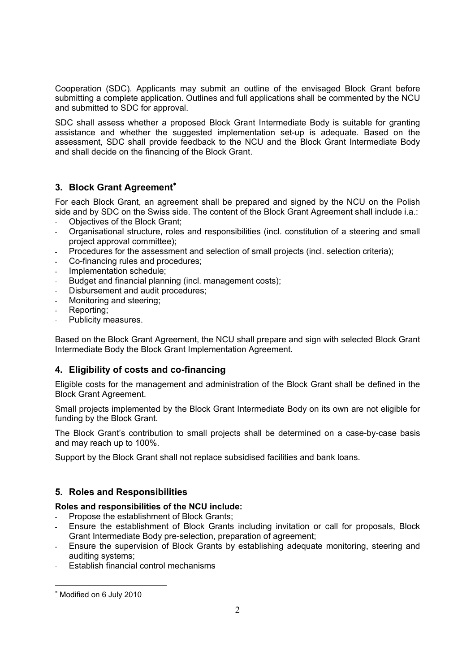Cooperation (SDC). Applicants may submit an outline of the envisaged Block Grant before submitting a complete application. Outlines and full applications shall be commented by the NCU and submitted to SDC for approval.

SDC shall assess whether a proposed Block Grant Intermediate Body is suitable for granting assistance and whether the suggested implementation set-up is adequate. Based on the assessment, SDC shall provide feedback to the NCU and the Block Grant Intermediate Body and shall decide on the financing of the Block Grant.

### 3. Block Grant Agreement<sup>\*</sup>

For each Block Grant, an agreement shall be prepared and signed by the NCU on the Polish side and by SDC on the Swiss side. The content of the Block Grant Agreement shall include i.a.:

- Objectives of the Block Grant;
- Organisational structure, roles and responsibilities (incl. constitution of a steering and small project approval committee);
- Procedures for the assessment and selection of small projects (incl. selection criteria);
- Co-financing rules and procedures;
- Implementation schedule;
- Budget and financial planning (incl. management costs);
- Disbursement and audit procedures;
- Monitoring and steering;
- Reporting;
- Publicity measures.

Based on the Block Grant Agreement, the NCU shall prepare and sign with selected Block Grant Intermediate Body the Block Grant Implementation Agreement.

### 4. Eligibility of costs and co-financing

Eligible costs for the management and administration of the Block Grant shall be defined in the Block Grant Agreement.

Small projects implemented by the Block Grant Intermediate Body on its own are not eligible for funding by the Block Grant.

The Block Grant's contribution to small projects shall be determined on a case-by-case basis and may reach up to 100%.

Support by the Block Grant shall not replace subsidised facilities and bank loans.

### 5. Roles and Responsibilities

### Roles and responsibilities of the NCU include:

- Propose the establishment of Block Grants:
- Ensure the establishment of Block Grants including invitation or call for proposals, Block Grant Intermediate Body pre-selection, preparation of agreement;
- Ensure the supervision of Block Grants by establishing adequate monitoring, steering and auditing systems;
- Establish financial control mechanisms

 $\overline{a}$ 

<sup>∗</sup> Modified on 6 July 2010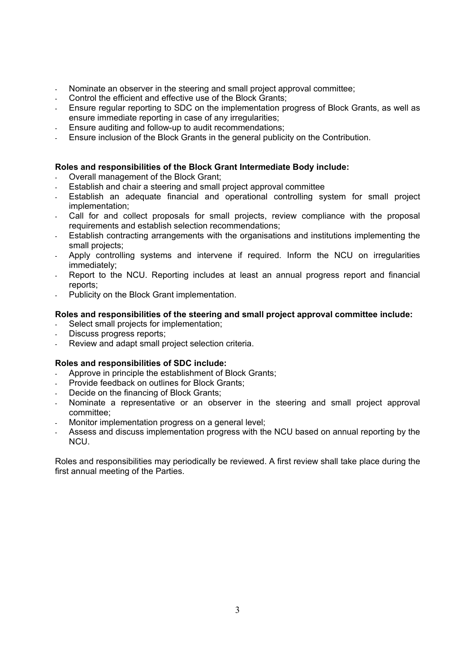- Nominate an observer in the steering and small project approval committee;
- Control the efficient and effective use of the Block Grants;
- Ensure regular reporting to SDC on the implementation progress of Block Grants, as well as ensure immediate reporting in case of any irregularities;
- Ensure auditing and follow-up to audit recommendations;
- Ensure inclusion of the Block Grants in the general publicity on the Contribution.

#### Roles and responsibilities of the Block Grant Intermediate Body include:

- Overall management of the Block Grant;
- Establish and chair a steering and small project approval committee
- Establish an adequate financial and operational controlling system for small project implementation;
- Call for and collect proposals for small projects, review compliance with the proposal requirements and establish selection recommendations;
- Establish contracting arrangements with the organisations and institutions implementing the small projects;
- Apply controlling systems and intervene if required. Inform the NCU on irregularities immediately;
- Report to the NCU. Reporting includes at least an annual progress report and financial reports;
- Publicity on the Block Grant implementation.

#### Roles and responsibilities of the steering and small project approval committee include:

- Select small projects for implementation;
- Discuss progress reports;
- Review and adapt small project selection criteria.

#### Roles and responsibilities of SDC include:

- Approve in principle the establishment of Block Grants;
- Provide feedback on outlines for Block Grants;
- Decide on the financing of Block Grants:
- Nominate a representative or an observer in the steering and small project approval committee;
- Monitor implementation progress on a general level;
- Assess and discuss implementation progress with the NCU based on annual reporting by the NCU.

Roles and responsibilities may periodically be reviewed. A first review shall take place during the first annual meeting of the Parties.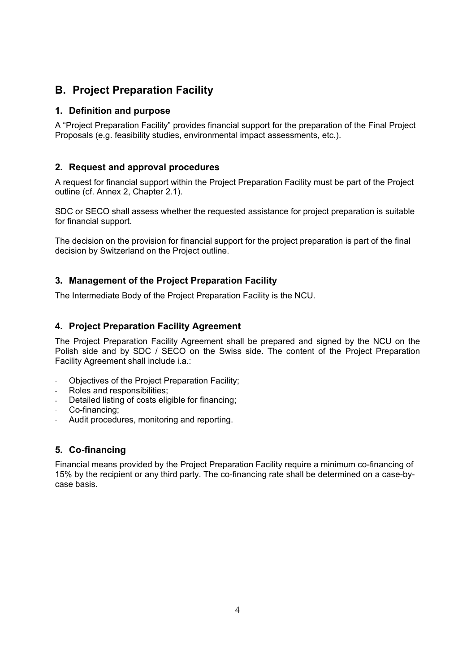## B. Project Preparation Facility

### 1. Definition and purpose

A "Project Preparation Facility" provides financial support for the preparation of the Final Project Proposals (e.g. feasibility studies, environmental impact assessments, etc.).

### 2. Request and approval procedures

A request for financial support within the Project Preparation Facility must be part of the Project outline (cf. Annex 2, Chapter 2.1).

SDC or SECO shall assess whether the requested assistance for project preparation is suitable for financial support.

The decision on the provision for financial support for the project preparation is part of the final decision by Switzerland on the Project outline.

### 3. Management of the Project Preparation Facility

The Intermediate Body of the Project Preparation Facility is the NCU.

### 4. Project Preparation Facility Agreement

The Project Preparation Facility Agreement shall be prepared and signed by the NCU on the Polish side and by SDC / SECO on the Swiss side. The content of the Project Preparation Facility Agreement shall include i.a.:

- Obiectives of the Project Preparation Facility;
- Roles and responsibilities:
- Detailed listing of costs eligible for financing;
- Co-financing:
- Audit procedures, monitoring and reporting.

### 5. Co-financing

Financial means provided by the Project Preparation Facility require a minimum co-financing of 15% by the recipient or any third party. The co-financing rate shall be determined on a case-bycase basis.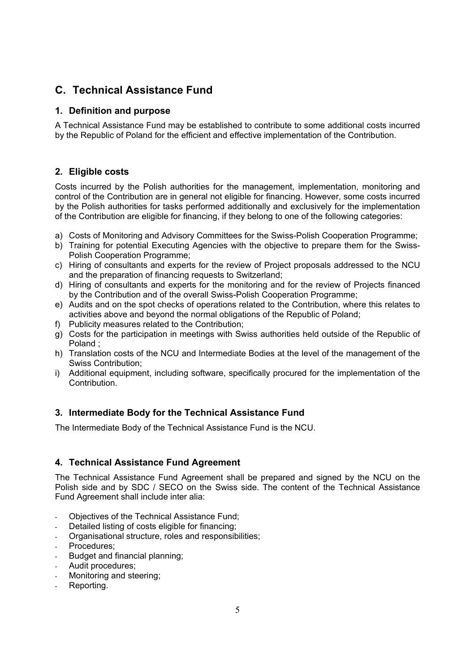## C. Technical Assistance Fund

### 1. Definition and purpose

A Technical Assistance Fund may be established to contribute to some additional costs incurred by the Republic of Poland for the efficient and effective implementation of the Contribution.

### 2. Eligible costs

Costs incurred by the Polish authorities for the management, implementation, monitoring and control of the Contribution are in general not eligible for financing. However, some costs incurred by the Polish authorities for tasks performed additionally and exclusively for the implementation of the Contribution are eligible for financing, if they belong to one of the following categories:

- a) Costs of Monitoring and Advisory Committees for the Swiss-Polish Cooperation Programme;
- b) Training for potential Executing Agencies with the objective to prepare them for the Swiss-Polish Cooperation Programme;
- c) Hiring of consultants and experts for the review of Project proposals addressed to the NCU and the preparation of financing requests to Switzerland;
- d) Hiring of consultants and experts for the monitoring and for the review of Projects financed by the Contribution and of the overall Swiss-Polish Cooperation Programme;
- e) Audits and on the spot checks of operations related to the Contribution, where this relates to activities above and beyond the normal obligations of the Republic of Poland;
- f) Publicity measures related to the Contribution;
- g) Costs for the participation in meetings with Swiss authorities held outside of the Republic of Poland ;
- h) Translation costs of the NCU and Intermediate Bodies at the level of the management of the Swiss Contribution;
- i) Additional equipment, including software, specifically procured for the implementation of the Contribution.

### 3. Intermediate Body for the Technical Assistance Fund

The Intermediate Body of the Technical Assistance Fund is the NCU.

### 4. Technical Assistance Fund Agreement

The Technical Assistance Fund Agreement shall be prepared and signed by the NCU on the Polish side and by SDC / SECO on the Swiss side. The content of the Technical Assistance Fund Agreement shall include inter alia:

- Objectives of the Technical Assistance Fund;
- Detailed listing of costs eligible for financing;
- Organisational structure, roles and responsibilities;
- Procedures:
- Budget and financial planning;
- Audit procedures;
- Monitoring and steering;
- Reporting.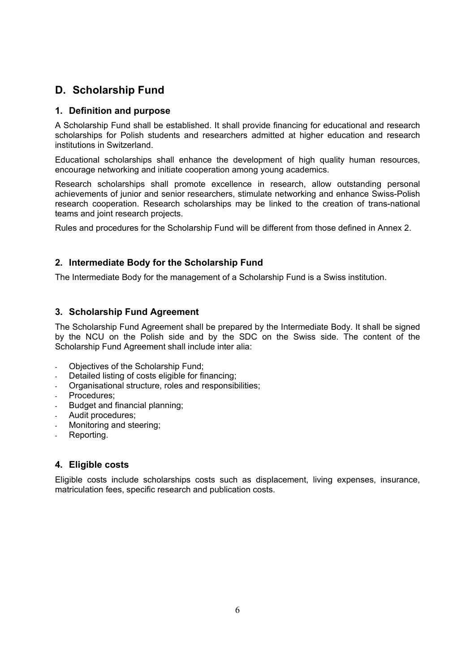## D. Scholarship Fund

### 1. Definition and purpose

A Scholarship Fund shall be established. It shall provide financing for educational and research scholarships for Polish students and researchers admitted at higher education and research institutions in Switzerland.

Educational scholarships shall enhance the development of high quality human resources, encourage networking and initiate cooperation among young academics.

Research scholarships shall promote excellence in research, allow outstanding personal achievements of junior and senior researchers, stimulate networking and enhance Swiss-Polish research cooperation. Research scholarships may be linked to the creation of trans-national teams and joint research projects.

Rules and procedures for the Scholarship Fund will be different from those defined in Annex 2.

### 2. Intermediate Body for the Scholarship Fund

The Intermediate Body for the management of a Scholarship Fund is a Swiss institution.

### 3. Scholarship Fund Agreement

The Scholarship Fund Agreement shall be prepared by the Intermediate Body. It shall be signed by the NCU on the Polish side and by the SDC on the Swiss side. The content of the Scholarship Fund Agreement shall include inter alia:

- Objectives of the Scholarship Fund;
- Detailed listing of costs eligible for financing;
- Organisational structure, roles and responsibilities;
- Procedures;
- Budget and financial planning;
- Audit procedures;
- Monitoring and steering:
- Reporting.

### 4. Eligible costs

Eligible costs include scholarships costs such as displacement, living expenses, insurance, matriculation fees, specific research and publication costs.